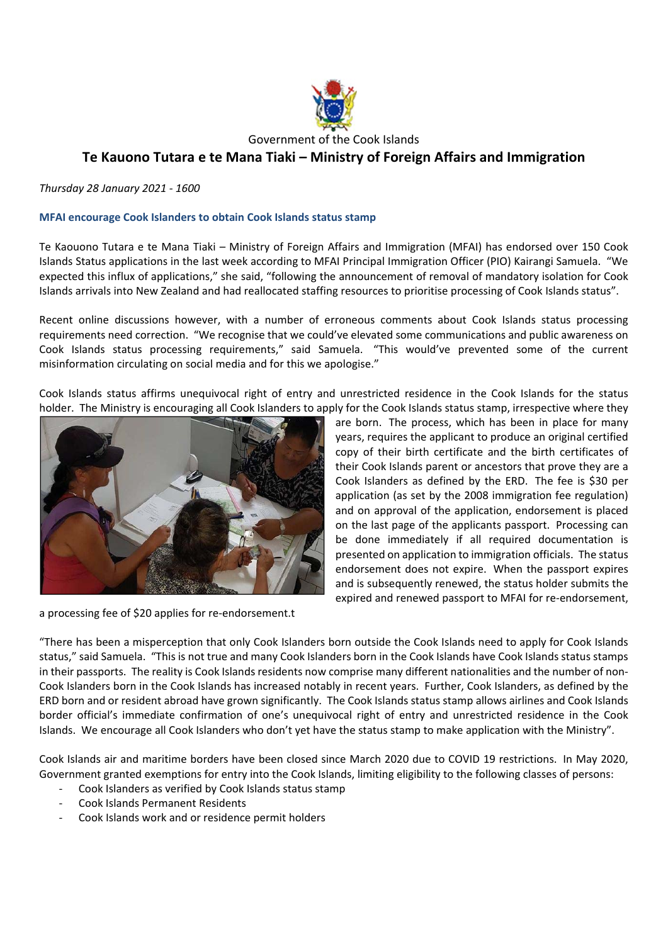

Government of the Cook Islands

# **Te Kauono Tutara e te Mana Tiaki – Ministry of Foreign Affairs and Immigration**

*Thursday 28 January 2021 ‐ 1600* 

#### **MFAI encourage Cook Islanders to obtain Cook Islands status stamp**

Te Kaouono Tutara e te Mana Tiaki – Ministry of Foreign Affairs and Immigration (MFAI) has endorsed over 150 Cook Islands Status applications in the last week according to MFAI Principal Immigration Officer (PIO) Kairangi Samuela. "We expected this influx of applications," she said, "following the announcement of removal of mandatory isolation for Cook Islands arrivals into New Zealand and had reallocated staffing resources to prioritise processing of Cook Islands status".

Recent online discussions however, with a number of erroneous comments about Cook Islands status processing requirements need correction. "We recognise that we could've elevated some communications and public awareness on Cook Islands status processing requirements," said Samuela. "This would've prevented some of the current misinformation circulating on social media and for this we apologise."

Cook Islands status affirms unequivocal right of entry and unrestricted residence in the Cook Islands for the status holder. The Ministry is encouraging all Cook Islanders to apply for the Cook Islands status stamp, irrespective where they



a processing fee of \$20 applies for re-endorsement.t

are born. The process, which has been in place for many years, requires the applicant to produce an original certified copy of their birth certificate and the birth certificates of their Cook Islands parent or ancestors that prove they are a Cook Islanders as defined by the ERD. The fee is \$30 per application (as set by the 2008 immigration fee regulation) and on approval of the application, endorsement is placed on the last page of the applicants passport. Processing can be done immediately if all required documentation is presented on application to immigration officials. The status endorsement does not expire. When the passport expires and is subsequently renewed, the status holder submits the expired and renewed passport to MFAI for re-endorsement,

"There has been a misperception that only Cook Islanders born outside the Cook Islands need to apply for Cook Islands status," said Samuela. "This is not true and many Cook Islanders born in the Cook Islands have Cook Islands status stamps in their passports. The reality is Cook Islands residents now comprise many different nationalities and the number of non-Cook Islanders born in the Cook Islands has increased notably in recent years. Further, Cook Islanders, as defined by the ERD born and or resident abroad have grown significantly. The Cook Islands status stamp allows airlines and Cook Islands border official's immediate confirmation of one's unequivocal right of entry and unrestricted residence in the Cook Islands. We encourage all Cook Islanders who don't yet have the status stamp to make application with the Ministry".

Cook Islands air and maritime borders have been closed since March 2020 due to COVID 19 restrictions. In May 2020, Government granted exemptions for entry into the Cook Islands, limiting eligibility to the following classes of persons:

- ‐ Cook Islanders as verified by Cook Islands status stamp
- ‐ Cook Islands Permanent Residents
- ‐ Cook Islands work and or residence permit holders